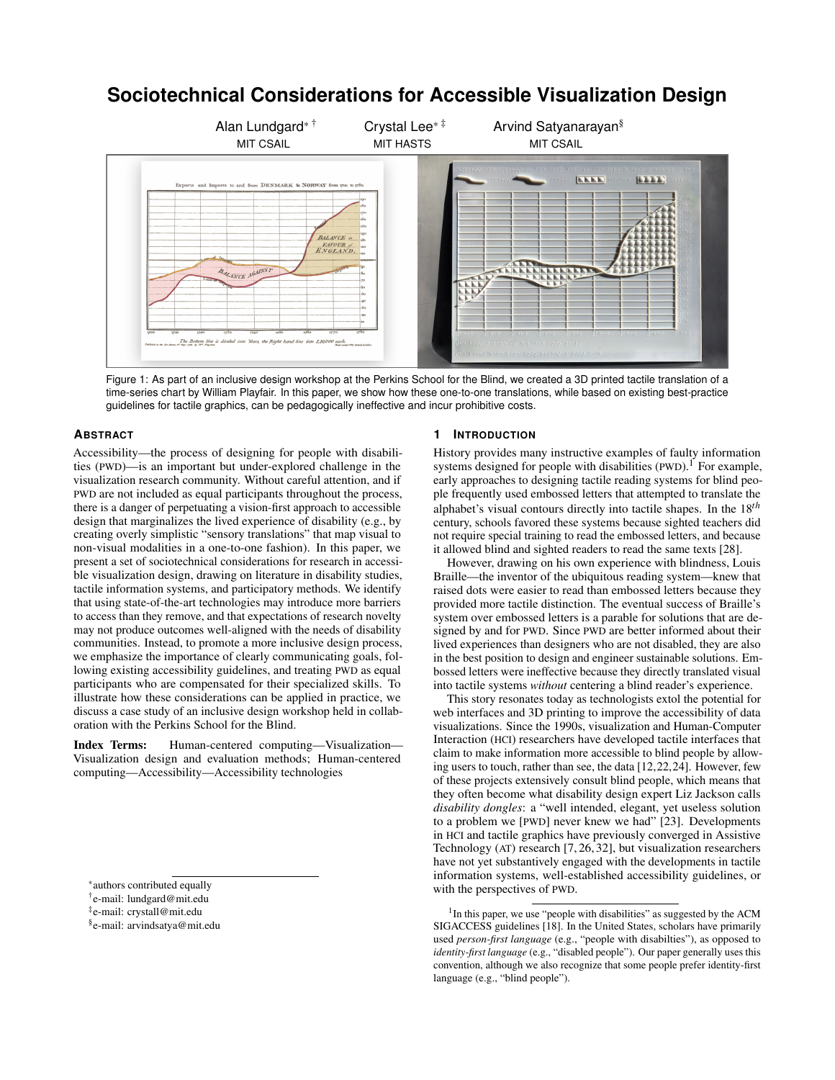

# **Sociotechnical Considerations for Accessible Visualization Design**

<span id="page-0-1"></span>Figure 1: As part of an inclusive design workshop at the Perkins School for the Blind, we created a 3D printed tactile translation of a time-series chart by William Playfair. In this paper, we show how these one-to-one translations, while based on existing best-practice guidelines for tactile graphics, can be pedagogically ineffective and incur prohibitive costs.

### **ABSTRACT**

Accessibility—the process of designing for people with disabilities (PWD)—is an important but under-explored challenge in the visualization research community. Without careful attention, and if PWD are not included as equal participants throughout the process, there is a danger of perpetuating a vision-first approach to accessible design that marginalizes the lived experience of disability (e.g., by creating overly simplistic "sensory translations" that map visual to non-visual modalities in a one-to-one fashion). In this paper, we present a set of sociotechnical considerations for research in accessible visualization design, drawing on literature in disability studies, tactile information systems, and participatory methods. We identify that using state-of-the-art technologies may introduce more barriers to access than they remove, and that expectations of research novelty may not produce outcomes well-aligned with the needs of disability communities. Instead, to promote a more inclusive design process, we emphasize the importance of clearly communicating goals, following existing accessibility guidelines, and treating PWD as equal participants who are compensated for their specialized skills. To illustrate how these considerations can be applied in practice, we discuss a case study of an inclusive design workshop held in collaboration with the Perkins School for the Blind.

Index Terms: Human-centered computing—Visualization— Visualization design and evaluation methods; Human-centered computing—Accessibility—Accessibility technologies

#### **1 INTRODUCTION**

History provides many instructive examples of faulty information systems designed for people with disabilities  $(PWD)$ .<sup>1</sup> For example, early approaches to designing tactile reading systems for blind people frequently used embossed letters that attempted to translate the alphabet's visual contours directly into tactile shapes. In the 18*th*  century, schools favored these systems because sighted teachers did not require special training to read the embossed letters, and because it allowed blind and sighted readers to read the same texts [\[28\]](#page-4-0).

However, drawing on his own experience with blindness, Louis Braille—the inventor of the ubiquitous reading system—knew that raised dots were easier to read than embossed letters because they provided more tactile distinction. The eventual success of Braille's system over embossed letters is a parable for solutions that are designed by and for PWD. Since PWD are better informed about their lived experiences than designers who are not disabled, they are also in the best position to design and engineer sustainable solutions. Embossed letters were ineffective because they directly translated visual into tactile systems *without* centering a blind reader's experience.

This story resonates today as technologists extol the potential for web interfaces and 3D printing to improve the accessibility of data visualizations. Since the 1990s, visualization and Human-Computer Interaction (HCI) researchers have developed tactile interfaces that claim to make information more accessible to blind people by allowing users to touch, rather than see, the data [\[12,](#page-4-1)[22,](#page-4-2)[24\]](#page-4-3). However, few of these projects extensively consult blind people, which means that they often become what disability design expert Liz Jackson calls *disability dongles*: a "well intended, elegant, yet useless solution to a problem we [PWD] never knew we had" [\[23\]](#page-4-4). Developments in HCI and tactile graphics have previously converged in Assistive Technology (AT) research [\[7,](#page-4-5) [26,](#page-4-6) [32\]](#page-4-7), but visualization researchers have not yet substantively engaged with the developments in tactile information systems, well-established accessibility guidelines, or with the perspectives of PWD.

<sup>\*</sup>authors contributed equally

<sup>†</sup>e-mail: [lundgard@mit.edu](mailto:lundgard@mit.edu)

<sup>‡</sup>e-mail: [crystall@mit.edu](mailto:crystall@mit.edu)

<sup>§</sup>e-mail: [arvindsatya@mit.edu](mailto:arvindsatya@mit.edu) 

<span id="page-0-0"></span> $1$ In this paper, we use "people with disabilities" as suggested by the ACM SIGACCESS guidelines [\[18\]](#page-4-8). In the United States, scholars have primarily used *person-first language* (e.g., "people with disabilties"), as opposed to *identity-first language* (e.g., "disabled people"). Our paper generally uses this convention, although we also recognize that some people prefer identity-first language (e.g., "blind people").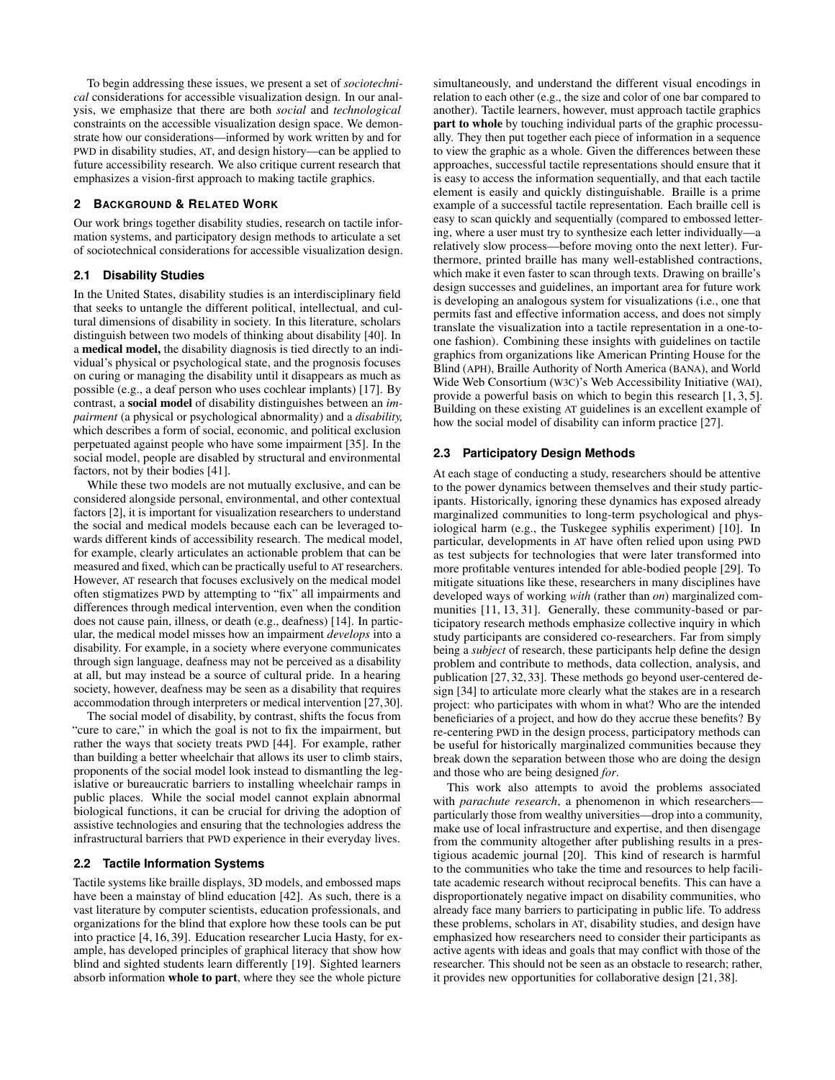To begin addressing these issues, we present a set of *sociotechnical* considerations for accessible visualization design. In our analysis, we emphasize that there are both *social* and *technological*  constraints on the accessible visualization design space. We demonstrate how our considerations—informed by work written by and for PWD in disability studies, AT, and design history—can be applied to future accessibility research. We also critique current research that emphasizes a vision-first approach to making tactile graphics.

## **2 BACKGROUND & RELATED WORK**

Our work brings together disability studies, research on tactile information systems, and participatory design methods to articulate a set of sociotechnical considerations for accessible visualization design.

## **2.1 Disability Studies**

In the United States, disability studies is an interdisciplinary field that seeks to untangle the different political, intellectual, and cultural dimensions of disability in society. In this literature, scholars distinguish between two models of thinking about disability [\[40\]](#page-4-9). In a medical model, the disability diagnosis is tied directly to an individual's physical or psychological state, and the prognosis focuses on curing or managing the disability until it disappears as much as possible (e.g., a deaf person who uses cochlear implants) [\[17\]](#page-4-10). By contrast, a social model of disability distinguishes between an *impairment* (a physical or psychological abnormality) and a *disability,*  which describes a form of social, economic, and political exclusion perpetuated against people who have some impairment [\[35\]](#page-4-11). In the social model, people are disabled by structural and environmental factors, not by their bodies [\[41\]](#page-4-12).

While these two models are not mutually exclusive, and can be considered alongside personal, environmental, and other contextual factors [\[2\]](#page-4-13), it is important for visualization researchers to understand the social and medical models because each can be leveraged towards different kinds of accessibility research. The medical model, for example, clearly articulates an actionable problem that can be measured and fixed, which can be practically useful to AT researchers. However, AT research that focuses exclusively on the medical model often stigmatizes PWD by attempting to "fix" all impairments and differences through medical intervention, even when the condition does not cause pain, illness, or death (e.g., deafness) [\[14\]](#page-4-14). In particular, the medical model misses how an impairment *develops* into a disability. For example, in a society where everyone communicates through sign language, deafness may not be perceived as a disability at all, but may instead be a source of cultural pride. In a hearing society, however, deafness may be seen as a disability that requires accommodation through interpreters or medical intervention [\[27,](#page-4-15)[30\]](#page-4-16).

The social model of disability, by contrast, shifts the focus from "cure to care," in which the goal is not to fix the impairment, but rather the ways that society treats PWD [\[44\]](#page-4-17). For example, rather than building a better wheelchair that allows its user to climb stairs, proponents of the social model look instead to dismantling the legislative or bureaucratic barriers to installing wheelchair ramps in public places. While the social model cannot explain abnormal biological functions, it can be crucial for driving the adoption of assistive technologies and ensuring that the technologies address the infrastructural barriers that PWD experience in their everyday lives.

## **2.2 Tactile Information Systems**

Tactile systems like braille displays, 3D models, and embossed maps have been a mainstay of blind education [\[42\]](#page-4-18). As such, there is a vast literature by computer scientists, education professionals, and organizations for the blind that explore how these tools can be put into practice [\[4,](#page-4-19) [16,](#page-4-20) [39\]](#page-4-21). Education researcher Lucia Hasty, for example, has developed principles of graphical literacy that show how blind and sighted students learn differently [\[19\]](#page-4-22). Sighted learners absorb information whole to part, where they see the whole picture

simultaneously, and understand the different visual encodings in relation to each other (e.g., the size and color of one bar compared to another). Tactile learners, however, must approach tactile graphics part to whole by touching individual parts of the graphic processually. They then put together each piece of information in a sequence to view the graphic as a whole. Given the differences between these approaches, successful tactile representations should ensure that it is easy to access the information sequentially, and that each tactile element is easily and quickly distinguishable. Braille is a prime example of a successful tactile representation. Each braille cell is easy to scan quickly and sequentially (compared to embossed lettering, where a user must try to synthesize each letter individually—a relatively slow process—before moving onto the next letter). Furthermore, printed braille has many well-established contractions, which make it even faster to scan through texts. Drawing on braille's design successes and guidelines, an important area for future work is developing an analogous system for visualizations (i.e., one that permits fast and effective information access, and does not simply translate the visualization into a tactile representation in a one-toone fashion). Combining these insights with guidelines on tactile graphics from organizations like American Printing House for the Blind (APH), Braille Authority of North America (BANA), and World Wide Web Consortium (W3C)'s Web Accessibility Initiative (WAI), provide a powerful basis on which to begin this research [\[1,](#page-4-23) [3,](#page-4-24) [5\]](#page-4-25). Building on these existing AT guidelines is an excellent example of how the social model of disability can inform practice [\[27\]](#page-4-15).

## **2.3 Participatory Design Methods**

At each stage of conducting a study, researchers should be attentive to the power dynamics between themselves and their study participants. Historically, ignoring these dynamics has exposed already marginalized communities to long-term psychological and physiological harm (e.g., the Tuskegee syphilis experiment) [\[10\]](#page-4-26). In particular, developments in AT have often relied upon using PWD as test subjects for technologies that were later transformed into more profitable ventures intended for able-bodied people [\[29\]](#page-4-27). To mitigate situations like these, researchers in many disciplines have developed ways of working *with* (rather than *on*) marginalized communities [\[11,](#page-4-28) [13,](#page-4-29) [31\]](#page-4-30). Generally, these community-based or participatory research methods emphasize collective inquiry in which study participants are considered co-researchers. Far from simply being a *subject* of research, these participants help define the design problem and contribute to methods, data collection, analysis, and publication [\[27,](#page-4-15) [32,](#page-4-7) [33\]](#page-4-31). These methods go beyond user-centered design [\[34\]](#page-4-32) to articulate more clearly what the stakes are in a research project: who participates with whom in what? Who are the intended beneficiaries of a project, and how do they accrue these benefits? By re-centering PWD in the design process, participatory methods can be useful for historically marginalized communities because they break down the separation between those who are doing the design and those who are being designed *for*.

This work also attempts to avoid the problems associated with *parachute research*, a phenomenon in which researchers particularly those from wealthy universities—drop into a community, make use of local infrastructure and expertise, and then disengage from the community altogether after publishing results in a prestigious academic journal [\[20\]](#page-4-33). This kind of research is harmful to the communities who take the time and resources to help facilitate academic research without reciprocal benefits. This can have a disproportionately negative impact on disability communities, who already face many barriers to participating in public life. To address these problems, scholars in AT, disability studies, and design have emphasized how researchers need to consider their participants as active agents with ideas and goals that may conflict with those of the researcher. This should not be seen as an obstacle to research; rather, it provides new opportunities for collaborative design [\[21,](#page-4-34) [38\]](#page-4-35).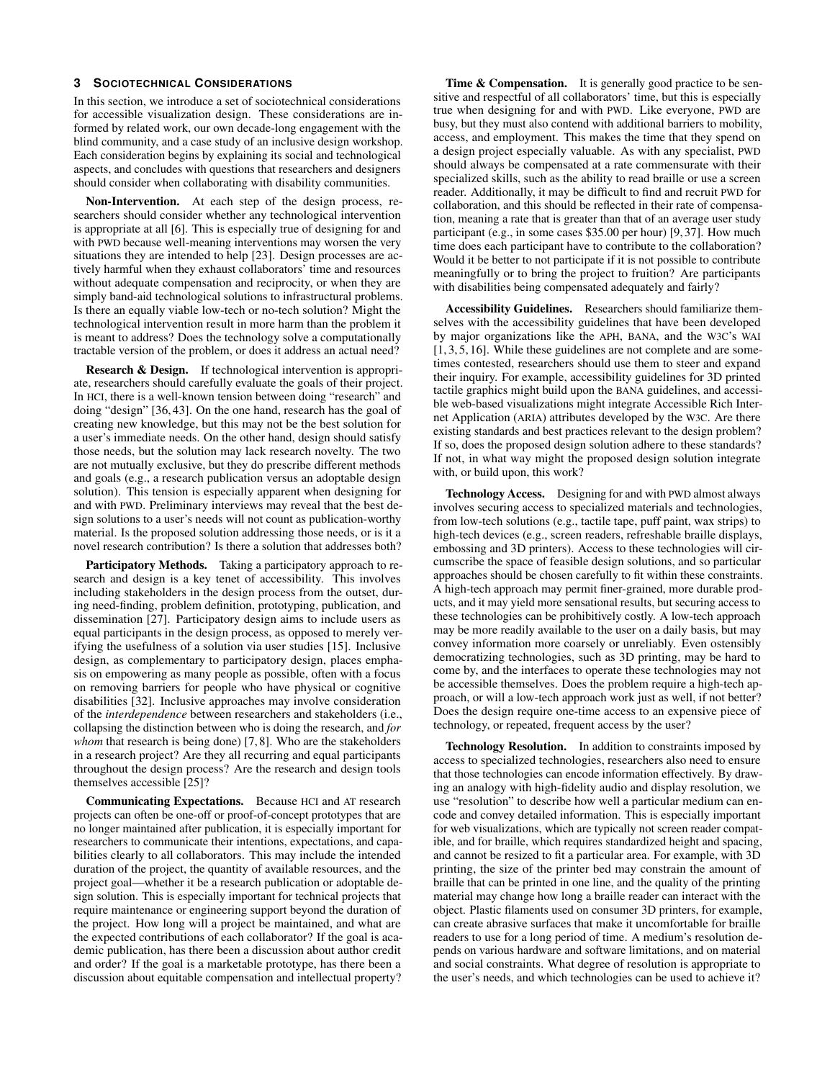### **3 SOCIOTECHNICAL CONSIDERATIONS**

In this section, we introduce a set of sociotechnical considerations for accessible visualization design. These considerations are informed by related work, our own decade-long engagement with the blind community, and a case study of an inclusive design workshop. Each consideration begins by explaining its social and technological aspects, and concludes with questions that researchers and designers should consider when collaborating with disability communities.

<span id="page-2-0"></span>Non-Intervention. At each step of the design process, researchers should consider whether any technological intervention is appropriate at all [\[6\]](#page-4-36). This is especially true of designing for and with PWD because well-meaning interventions may worsen the very situations they are intended to help [\[23\]](#page-4-4). Design processes are actively harmful when they exhaust collaborators' time and resources without adequate compensation and reciprocity, or when they are simply band-aid technological solutions to infrastructural problems. Is there an equally viable low-tech or no-tech solution? Might the technological intervention result in more harm than the problem it is meant to address? Does the technology solve a computationally tractable version of the problem, or does it address an actual need?

<span id="page-2-2"></span>Research & Design. If technological intervention is appropriate, researchers should carefully evaluate the goals of their project. In HCI, there is a well-known tension between doing "research" and doing "design" [\[36,](#page-4-37) [43\]](#page-4-38). On the one hand, research has the goal of creating new knowledge, but this may not be the best solution for a user's immediate needs. On the other hand, design should satisfy those needs, but the solution may lack research novelty. The two are not mutually exclusive, but they do prescribe different methods and goals (e.g., a research publication versus an adoptable design solution). This tension is especially apparent when designing for and with PWD. Preliminary interviews may reveal that the best design solutions to a user's needs will not count as publication-worthy material. Is the proposed solution addressing those needs, or is it a novel research contribution? Is there a solution that addresses both?

<span id="page-2-1"></span>Participatory Methods. Taking a participatory approach to research and design is a key tenet of accessibility. This involves including stakeholders in the design process from the outset, during need-finding, problem definition, prototyping, publication, and dissemination [\[27\]](#page-4-15). Participatory design aims to include users as equal participants in the design process, as opposed to merely verifying the usefulness of a solution via user studies [\[15\]](#page-4-39). Inclusive design, as complementary to participatory design, places emphasis on empowering as many people as possible, often with a focus on removing barriers for people who have physical or cognitive disabilities [\[32\]](#page-4-7). Inclusive approaches may involve consideration of the *interdependence* between researchers and stakeholders (i.e., collapsing the distinction between who is doing the research, and *for whom* that research is being done) [\[7,](#page-4-5) [8\]](#page-4-40). Who are the stakeholders in a research project? Are they all recurring and equal participants throughout the design process? Are the research and design tools themselves accessible [\[25\]](#page-4-41)?

<span id="page-2-6"></span>Communicating Expectations. Because HCI and AT research projects can often be one-off or proof-of-concept prototypes that are no longer maintained after publication, it is especially important for researchers to communicate their intentions, expectations, and capabilities clearly to all collaborators. This may include the intended duration of the project, the quantity of available resources, and the project goal—whether it be a research publication or adoptable design solution. This is especially important for technical projects that require maintenance or engineering support beyond the duration of the project. How long will a project be maintained, and what are the expected contributions of each collaborator? If the goal is academic publication, has there been a discussion about author credit and order? If the goal is a marketable prototype, has there been a discussion about equitable compensation and intellectual property?

<span id="page-2-7"></span>Time & Compensation. It is generally good practice to be sensitive and respectful of all collaborators' time, but this is especially true when designing for and with PWD. Like everyone, PWD are busy, but they must also contend with additional barriers to mobility, access, and employment. This makes the time that they spend on a design project especially valuable. As with any specialist, PWD should always be compensated at a rate commensurate with their specialized skills, such as the ability to read braille or use a screen reader. Additionally, it may be difficult to find and recruit PWD for collaboration, and this should be reflected in their rate of compensation, meaning a rate that is greater than that of an average user study participant (e.g., in some cases \$35.00 per hour) [\[9,](#page-4-42) [37\]](#page-4-43). How much time does each participant have to contribute to the collaboration? Would it be better to not participate if it is not possible to contribute meaningfully or to bring the project to fruition? Are participants with disabilities being compensated adequately and fairly?

<span id="page-2-4"></span>Accessibility Guidelines. Researchers should familiarize themselves with the accessibility guidelines that have been developed by major organizations like the APH, BANA, and the W3C's WAI [\[1,](#page-4-23) [3,](#page-4-24) [5,](#page-4-25) [16\]](#page-4-20). While these guidelines are not complete and are sometimes contested, researchers should use them to steer and expand their inquiry. For example, accessibility guidelines for 3D printed tactile graphics might build upon the BANA guidelines, and accessible web-based visualizations might integrate Accessible Rich Internet Application (ARIA) attributes developed by the W3C. Are there existing standards and best practices relevant to the design problem? If so, does the proposed design solution adhere to these standards? If not, in what way might the proposed design solution integrate with, or build upon, this work?

<span id="page-2-5"></span>Technology Access. Designing for and with PWD almost always involves securing access to specialized materials and technologies, from low-tech solutions (e.g., tactile tape, puff paint, wax strips) to high-tech devices (e.g., screen readers, refreshable braille displays, embossing and 3D printers). Access to these technologies will circumscribe the space of feasible design solutions, and so particular approaches should be chosen carefully to fit within these constraints. A high-tech approach may permit finer-grained, more durable products, and it may yield more sensational results, but securing access to these technologies can be prohibitively costly. A low-tech approach may be more readily available to the user on a daily basis, but may convey information more coarsely or unreliably. Even ostensibly democratizing technologies, such as 3D printing, may be hard to come by, and the interfaces to operate these technologies may not be accessible themselves. Does the problem require a high-tech approach, or will a low-tech approach work just as well, if not better? Does the design require one-time access to an expensive piece of technology, or repeated, frequent access by the user?

<span id="page-2-3"></span>Technology Resolution. In addition to constraints imposed by access to specialized technologies, researchers also need to ensure that those technologies can encode information effectively. By drawing an analogy with high-fidelity audio and display resolution, we use "resolution" to describe how well a particular medium can encode and convey detailed information. This is especially important for web visualizations, which are typically not screen reader compatible, and for braille, which requires standardized height and spacing, and cannot be resized to fit a particular area. For example, with 3D printing, the size of the printer bed may constrain the amount of braille that can be printed in one line, and the quality of the printing material may change how long a braille reader can interact with the object. Plastic filaments used on consumer 3D printers, for example, can create abrasive surfaces that make it uncomfortable for braille readers to use for a long period of time. A medium's resolution depends on various hardware and software limitations, and on material and social constraints. What degree of resolution is appropriate to the user's needs, and which technologies can be used to achieve it?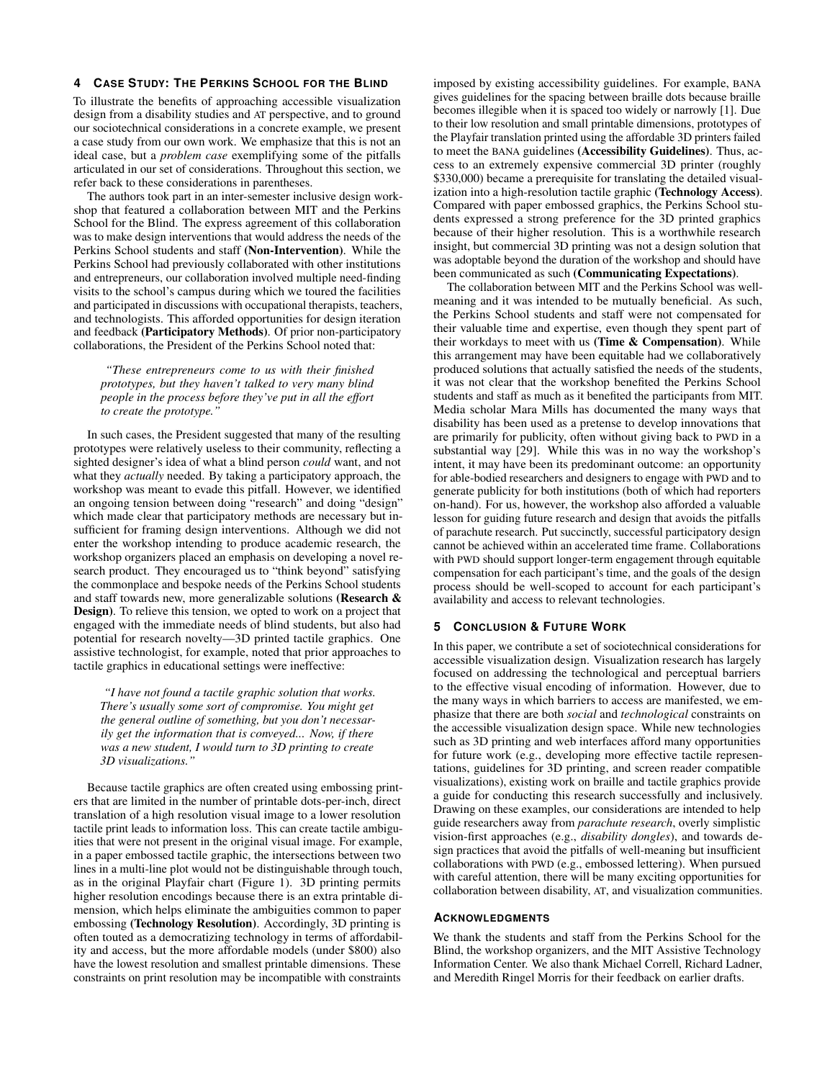### **4 CASE STUDY: THE PERKINS SCHOOL FOR THE BLIND**

To illustrate the benefits of approaching accessible visualization design from a disability studies and AT perspective, and to ground our sociotechnical considerations in a concrete example, we present a case study from our own work. We emphasize that this is not an ideal case, but a *problem case* exemplifying some of the pitfalls articulated in our set of considerations. Throughout this section, we refer back to these considerations in parentheses.

The authors took part in an inter-semester inclusive design workshop that featured a collaboration between MIT and the Perkins School for the Blind. The express agreement of this collaboration was to make design interventions that would address the needs of the Perkins School students and staff [\(Non-Intervention\)](#page-2-0). While the Perkins School had previously collaborated with other institutions and entrepreneurs, our collaboration involved multiple need-finding visits to the school's campus during which we toured the facilities and participated in discussions with occupational therapists, teachers, and technologists. This afforded opportunities for design iteration and feedback [\(Participatory](#page-2-1) Methods). Of prior non-participatory collaborations, the President of the Perkins School noted that:

*"These entrepreneurs come to us with their finished prototypes, but they haven't talked to very many blind people in the process before they've put in all the effort to create the prototype."* 

In such cases, the President suggested that many of the resulting prototypes were relatively useless to their community, reflecting a sighted designer's idea of what a blind person *could* want, and not what they *actually* needed. By taking a participatory approach, the workshop was meant to evade this pitfall. However, we identified an ongoing tension between doing "research" and doing "design" which made clear that participatory methods are necessary but insufficient for framing design interventions. Although we did not enter the workshop intending to produce academic research, the workshop organizers placed an emphasis on developing a novel research product. They encouraged us to "think beyond" satisfying the commonplace and bespoke needs of the Perkins School students and staff towards new, more generalizable solutions [\(Research](#page-2-2) & [Design\)](#page-2-2). To relieve this tension, we opted to work on a project that engaged with the immediate needs of blind students, but also had potential for research novelty—3D printed tactile graphics. One assistive technologist, for example, noted that prior approaches to tactile graphics in educational settings were ineffective:

*"I have not found a tactile graphic solution that works. There's usually some sort of compromise. You might get the general outline of something, but you don't necessarily get the information that is conveyed... Now, if there was a new student, I would turn to 3D printing to create 3D visualizations."* 

Because tactile graphics are often created using embossing printers that are limited in the number of printable dots-per-inch, direct translation of a high resolution visual image to a lower resolution tactile print leads to information loss. This can create tactile ambiguities that were not present in the original visual image. For example, in a paper embossed tactile graphic, the intersections between two lines in a multi-line plot would not be distinguishable through touch, as in the original Playfair chart (Figure [1\)](#page-0-1). 3D printing permits higher resolution encodings because there is an extra printable dimension, which helps eliminate the ambiguities common to paper embossing [\(Technology](#page-2-3) Resolution). Accordingly, 3D printing is often touted as a democratizing technology in terms of affordability and access, but the more affordable models (under \$800) also have the lowest resolution and smallest printable dimensions. These constraints on print resolution may be incompatible with constraints

imposed by existing accessibility guidelines. For example, BANA gives guidelines for the spacing between braille dots because braille becomes illegible when it is spaced too widely or narrowly [\[1\]](#page-4-23). Due to their low resolution and small printable dimensions, prototypes of the Playfair translation printed using the affordable 3D printers failed to meet the BANA guidelines [\(Accessibility](#page-2-4) Guidelines). Thus, access to an extremely expensive commercial 3D printer (roughly \$330,000) became a prerequisite for translating the detailed visualization into a high-resolution tactile graphic [\(Technology](#page-2-5) Access). Compared with paper embossed graphics, the Perkins School students expressed a strong preference for the 3D printed graphics because of their higher resolution. This is a worthwhile research insight, but commercial 3D printing was not a design solution that was adoptable beyond the duration of the workshop and should have been communicated as such [\(Communicating](#page-2-6) Expectations).

The collaboration between MIT and the Perkins School was wellmeaning and it was intended to be mutually beneficial. As such, the Perkins School students and staff were not compensated for their valuable time and expertise, even though they spent part of their workdays to meet with us (Time  $\&$  [Compensation\)](#page-2-7). While this arrangement may have been equitable had we collaboratively produced solutions that actually satisfied the needs of the students, it was not clear that the workshop benefited the Perkins School students and staff as much as it benefited the participants from MIT. Media scholar Mara Mills has documented the many ways that disability has been used as a pretense to develop innovations that are primarily for publicity, often without giving back to PWD in a substantial way [\[29\]](#page-4-27). While this was in no way the workshop's intent, it may have been its predominant outcome: an opportunity for able-bodied researchers and designers to engage with PWD and to generate publicity for both institutions (both of which had reporters on-hand). For us, however, the workshop also afforded a valuable lesson for guiding future research and design that avoids the pitfalls of parachute research. Put succinctly, successful participatory design cannot be achieved within an accelerated time frame. Collaborations with PWD should support longer-term engagement through equitable compensation for each participant's time, and the goals of the design process should be well-scoped to account for each participant's availability and access to relevant technologies.

#### **5 CONCLUSION & FUTURE WORK**

In this paper, we contribute a set of sociotechnical considerations for accessible visualization design. Visualization research has largely focused on addressing the technological and perceptual barriers to the effective visual encoding of information. However, due to the many ways in which barriers to access are manifested, we emphasize that there are both *social* and *technological* constraints on the accessible visualization design space. While new technologies such as 3D printing and web interfaces afford many opportunities for future work (e.g., developing more effective tactile representations, guidelines for 3D printing, and screen reader compatible visualizations), existing work on braille and tactile graphics provide a guide for conducting this research successfully and inclusively. Drawing on these examples, our considerations are intended to help guide researchers away from *parachute research*, overly simplistic vision-first approaches (e.g., *disability dongles*), and towards design practices that avoid the pitfalls of well-meaning but insufficient collaborations with PWD (e.g., embossed lettering). When pursued with careful attention, there will be many exciting opportunities for collaboration between disability, AT, and visualization communities.

#### **ACKNOWLEDGMENTS**

We thank the students and staff from the Perkins School for the Blind, the workshop organizers, and the MIT Assistive Technology Information Center. We also thank Michael Correll, Richard Ladner, and Meredith Ringel Morris for their feedback on earlier drafts.